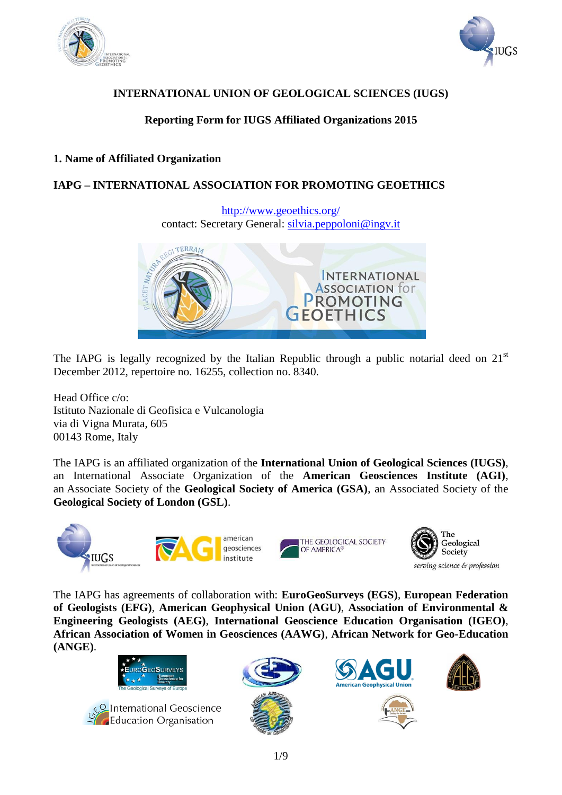



## **INTERNATIONAL UNION OF GEOLOGICAL SCIENCES (IUGS)**

# **Reporting Form for IUGS Affiliated Organizations 2015**

### **1. Name of Affiliated Organization**

## **IAPG – INTERNATIONAL ASSOCIATION FOR PROMOTING GEOETHICS**

<http://www.geoethics.org/> contact: Secretary General: [silvia.peppoloni@ingv.it](mailto:silvia.peppoloni@ingv.it)



The IAPG is legally recognized by the Italian Republic through a public notarial deed on  $21<sup>st</sup>$ December 2012, repertoire no. 16255, collection no. 8340.

Head Office c/o: Istituto Nazionale di Geofisica e Vulcanologia via di Vigna Murata, 605 00143 Rome, Italy

The IAPG is an affiliated organization of the **International Union of Geological Sciences (IUGS)**, an International Associate Organization of the **American Geosciences Institute (AGI)**, an Associate Society of the **Geological Society of America (GSA)**, an Associated Society of the **Geological Society of London (GSL)**.



The IAPG has agreements of collaboration with: **EuroGeoSurveys (EGS)**, **European Federation of Geologists (EFG)**, **American Geophysical Union (AGU)**, **Association of Environmental & Engineering Geologists (AEG)**, **International Geoscience Education Organisation (IGEO)**, **African Association of Women in Geosciences (AAWG)**, **African Network for Geo-Education (ANGE)**.









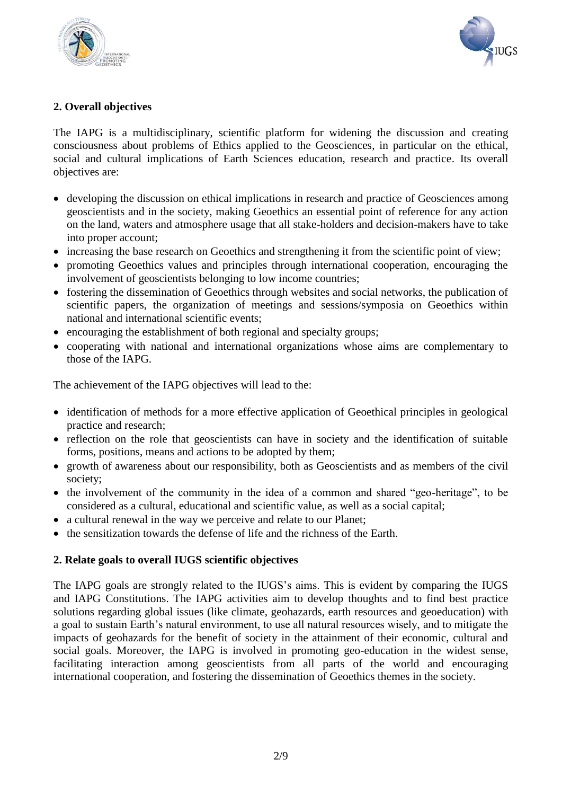



## **2. Overall objectives**

The IAPG is a multidisciplinary, scientific platform for widening the discussion and creating consciousness about problems of Ethics applied to the Geosciences, in particular on the ethical, social and cultural implications of Earth Sciences education, research and practice. Its overall objectives are:

- developing the discussion on ethical implications in research and practice of Geosciences among geoscientists and in the society, making Geoethics an essential point of reference for any action on the land, waters and atmosphere usage that all stake-holders and decision-makers have to take into proper account;
- increasing the base research on Geoethics and strengthening it from the scientific point of view;
- promoting Geoethics values and principles through international cooperation, encouraging the involvement of geoscientists belonging to low income countries;
- fostering the dissemination of Geoethics through websites and social networks, the publication of scientific papers, the organization of meetings and sessions/symposia on Geoethics within national and international scientific events;
- encouraging the establishment of both regional and specialty groups;
- cooperating with national and international organizations whose aims are complementary to those of the IAPG.

The achievement of the IAPG objectives will lead to the:

- identification of methods for a more effective application of Geoethical principles in geological practice and research;
- reflection on the role that geoscientists can have in society and the identification of suitable forms, positions, means and actions to be adopted by them;
- growth of awareness about our responsibility, both as Geoscientists and as members of the civil society;
- $\bullet$  the involvement of the community in the idea of a common and shared "geo-heritage", to be considered as a cultural, educational and scientific value, as well as a social capital;
- a cultural renewal in the way we perceive and relate to our Planet;
- the sensitization towards the defense of life and the richness of the Earth.

#### **2. Relate goals to overall IUGS scientific objectives**

The IAPG goals are strongly related to the IUGS's aims. This is evident by comparing the IUGS and IAPG Constitutions. The IAPG activities aim to develop thoughts and to find best practice solutions regarding global issues (like climate, geohazards, earth resources and geoeducation) with a goal to sustain Earth's natural environment, to use all natural resources wisely, and to mitigate the impacts of geohazards for the benefit of society in the attainment of their economic, cultural and social goals. Moreover, the IAPG is involved in promoting geo-education in the widest sense, facilitating interaction among geoscientists from all parts of the world and encouraging international cooperation, and fostering the dissemination of Geoethics themes in the society.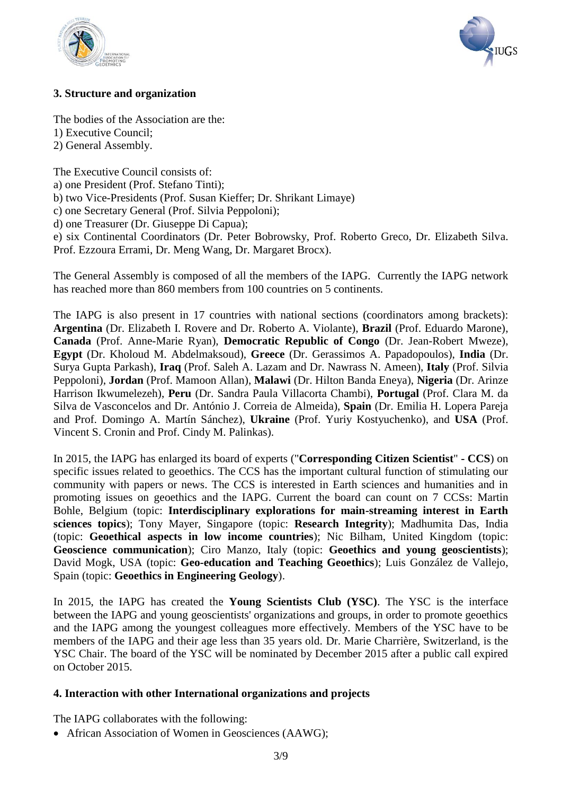



### **3. Structure and organization**

The bodies of the Association are the: 1) Executive Council;

2) General Assembly.

The Executive Council consists of: a) one President (Prof. Stefano Tinti); b) two Vice-Presidents (Prof. Susan Kieffer; Dr. Shrikant Limaye) c) one Secretary General (Prof. Silvia Peppoloni); d) one Treasurer (Dr. Giuseppe Di Capua); e) six Continental Coordinators (Dr. Peter Bobrowsky, Prof. Roberto Greco, Dr. Elizabeth Silva.

Prof. Ezzoura Errami, Dr. Meng Wang, Dr. Margaret Brocx).

The General Assembly is composed of all the members of the IAPG. Currently the IAPG network has reached more than 860 members from 100 countries on 5 continents.

The IAPG is also present in 17 countries with national sections (coordinators among brackets): **Argentina** (Dr. Elizabeth I. Rovere and Dr. Roberto A. Violante), **Brazil** (Prof. Eduardo Marone), **Canada** (Prof. Anne-Marie Ryan), **Democratic Republic of Congo** (Dr. Jean-Robert Mweze), **Egypt** (Dr. Kholoud M. Abdelmaksoud), **Greece** (Dr. Gerassimos A. Papadopoulos), **India** (Dr. Surya Gupta Parkash), **Iraq** (Prof. Saleh A. Lazam and Dr. Nawrass N. Ameen), **Italy** (Prof. Silvia Peppoloni), **Jordan** (Prof. Mamoon Allan), **Malawi** (Dr. Hilton Banda Eneya), **Nigeria** (Dr. Arinze Harrison Ikwumelezeh), **Peru** (Dr. Sandra Paula Villacorta Chambi), **Portugal** (Prof. Clara M. da Silva de Vasconcelos and Dr. António J. Correia de Almeida), **Spain** (Dr. Emilia H. Lopera Pareja and Prof. Domingo A. Martín Sánchez), **Ukraine** (Prof. Yuriy Kostyuchenko), and **USA** (Prof. Vincent S. Cronin and Prof. Cindy M. Palinkas).

In 2015, the IAPG has enlarged its board of experts ("**Corresponding Citizen Scientist**" **- CCS**) on specific issues related to geoethics. The CCS has the important cultural function of stimulating our community with papers or news. The CCS is interested in Earth sciences and humanities and in promoting issues on geoethics and the IAPG. Current the board can count on 7 CCSs: Martin Bohle, Belgium (topic: **Interdisciplinary explorations for main-streaming interest in Earth sciences topics**); Tony Mayer, Singapore (topic: **Research Integrity**); Madhumita Das, India (topic: **Geoethical aspects in low income countries**); Nic Bilham, United Kingdom (topic: **Geoscience communication**); Ciro Manzo, Italy (topic: **Geoethics and young geoscientists**); David Mogk, USA (topic: **Geo-education and Teaching Geoethics**); Luis González de Vallejo, Spain (topic: **Geoethics in Engineering Geology**).

In 2015, the IAPG has created the **Young Scientists Club (YSC)**. The YSC is the interface between the IAPG and young geoscientists' organizations and groups, in order to promote geoethics and the IAPG among the youngest colleagues more effectively. Members of the YSC have to be members of the IAPG and their age less than 35 years old. Dr. Marie Charrière, Switzerland, is the YSC Chair. The board of the YSC will be nominated by December 2015 after a public call expired on October 2015.

### **4. Interaction with other International organizations and projects**

The IAPG collaborates with the following:

African Association of Women in Geosciences (AAWG);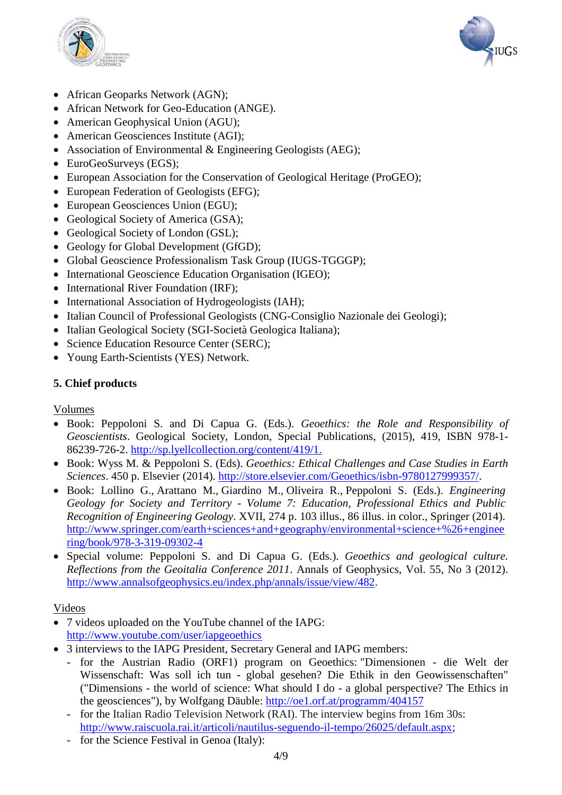



- African Geoparks Network (AGN);
- African Network for Geo-Education (ANGE).
- American Geophysical Union (AGU);
- American Geosciences Institute (AGI);
- Association of Environmental & Engineering Geologists (AEG);
- EuroGeoSurveys (EGS):
- European Association for the Conservation of Geological Heritage (ProGEO);
- European Federation of Geologists (EFG);
- European Geosciences Union (EGU);
- Geological Society of America (GSA);
- Geological Society of London (GSL);
- Geology for Global Development (GfGD);
- Global Geoscience Professionalism Task Group (IUGS-TGGGP);
- International Geoscience Education Organisation (IGEO);
- International River Foundation (IRF):
- International Association of Hydrogeologists (IAH);
- Italian Council of Professional Geologists (CNG-Consiglio Nazionale dei Geologi);
- Italian Geological Society (SGI-Società Geologica Italiana);
- Science Education Resource Center (SERC);
- Young Earth-Scientists (YES) Network.

### **5. Chief products**

#### Volumes

- Book: Peppoloni S. and Di Capua G. (Eds.). *Geoethics: the Role and Responsibility of Geoscientists*. Geological Society, London, Special Publications, (2015), 419, ISBN 978-1- 86239-726-2.<http://sp.lyellcollection.org/content/419/1.>
- Book: Wyss M. & Peppoloni S. (Eds). *Geoethics: Ethical Challenges and Case Studies in Earth Sciences*. 450 p. Elsevier (2014). [http://store.elsevier.com/Geoethics/isbn-9780127999357/.](http://store.elsevier.com/Geoethics/isbn-9780127999357/)
- Book: Lollino G., Arattano M., Giardino M., Oliveira R., Peppoloni S. (Eds.). *Engineering Geology for Society and Territory - Volume 7: Education, Professional Ethics and Public Recognition of Engineering Geology*. XVII, 274 p. 103 illus., 86 illus. in color., Springer (2014). [http://www.springer.com/earth+sciences+and+geography/environmental+science+%26+enginee](http://www.springer.com/earth+sciences+and+geography/environmental+science+%26+engineering/book/978-3-319-09302-4) [ring/book/978-3-319-09302-4](http://www.springer.com/earth+sciences+and+geography/environmental+science+%26+engineering/book/978-3-319-09302-4)
- Special volume: Peppoloni S. and Di Capua G. (Eds.). *Geoethics and geological culture. Reflections from the Geoitalia Conference 2011*. Annals of Geophysics, Vol. 55, No 3 (2012). [http://www.annalsofgeophysics.eu/index.php/annals/issue/view/482.](http://www.annalsofgeophysics.eu/index.php/annals/issue/view/482)

### Videos

- 7 videos uploaded on the YouTube channel of the IAPG: <http://www.youtube.com/user/iapgeoethics>
- 3 interviews to the IAPG President, Secretary General and IAPG members:
	- for the Austrian Radio (ORF1) program on Geoethics: "Dimensionen die Welt der Wissenschaft: Was soll ich tun - global gesehen? Die Ethik in den Geowissenschaften" ("Dimensions - the world of science: What should I do - a global perspective? The Ethics in the geosciences"), by Wolfgang Däuble:<http://oe1.orf.at/programm/404157>
	- for the Italian Radio Television Network (RAI). The interview begins from 16m 30s: [http://www.raiscuola.rai.it/articoli/nautilus-seguendo-il-tempo/26025/default.aspx;](http://www.raiscuola.rai.it/articoli/nautilus-seguendo-il-tempo/26025/default.aspx)
	- for the Science Festival in Genoa (Italy):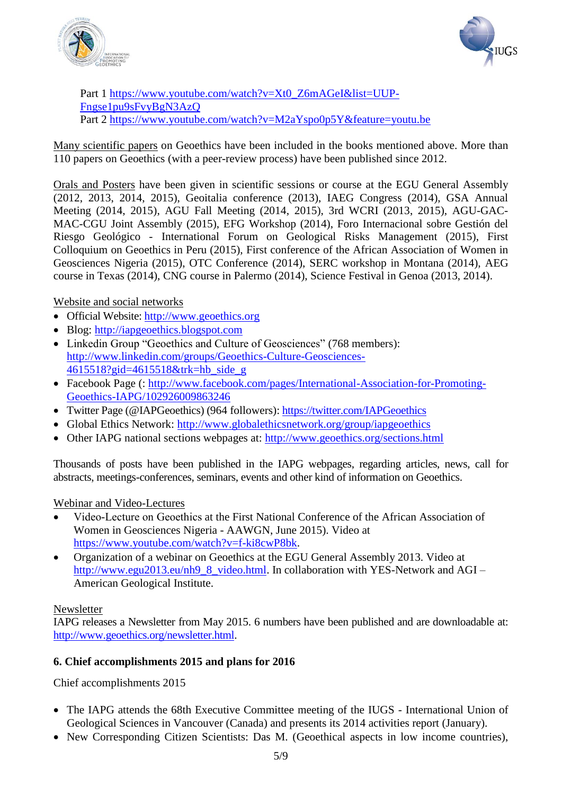



Part 1 [https://www.youtube.com/watch?v=Xt0\\_Z6mAGeI&list=UUP-](https://www.youtube.com/watch?v=Xt0_Z6mAGeI&list=UUP-Fngse1pu9sFvyBgN3AzQ)[Fngse1pu9sFvyBgN3AzQ](https://www.youtube.com/watch?v=Xt0_Z6mAGeI&list=UUP-Fngse1pu9sFvyBgN3AzQ) Part 2<https://www.youtube.com/watch?v=M2aYspo0p5Y&feature=youtu.be>

Many scientific papers on Geoethics have been included in the books mentioned above. More than 110 papers on Geoethics (with a peer-review process) have been published since 2012.

Orals and Posters have been given in scientific sessions or course at the EGU General Assembly (2012, 2013, 2014, 2015), Geoitalia conference (2013), IAEG Congress (2014), GSA Annual Meeting (2014, 2015), AGU Fall Meeting (2014, 2015), 3rd WCRI (2013, 2015), AGU-GAC-MAC-CGU Joint Assembly (2015), EFG Workshop (2014), Foro Internacional sobre Gestión del Riesgo Geológico - International Forum on Geological Risks Management (2015), First Colloquium on Geoethics in Peru (2015), First conference of the African Association of Women in Geosciences Nigeria (2015), OTC Conference (2014), SERC workshop in Montana (2014), AEG course in Texas (2014), CNG course in Palermo (2014), Science Festival in Genoa (2013, 2014).

Website and social networks

- Official Website: [http://www.geoethics.org](http://www.geoethics.org/)
- Blog: [http://iapgeoethics.blogspot.com](http://iapgeoethics.blogspot.com/)
- Linkedin Group "Geoethics and Culture of Geosciences" (768 members): [http://www.linkedin.com/groups/Geoethics-Culture-Geosciences-](http://www.linkedin.com/groups/Geoethics-Culture-Geosciences-4615518?gid=4615518&trk=hb_side_g)[4615518?gid=4615518&trk=hb\\_side\\_g](http://www.linkedin.com/groups/Geoethics-Culture-Geosciences-4615518?gid=4615518&trk=hb_side_g)
- Facebook Page (: [http://www.facebook.com/pages/International-Association-for-Promoting-](http://www.facebook.com/pages/International-Association-for-Promoting-Geoethics-IAPG/102926009863246)[Geoethics-IAPG/102926009863246](http://www.facebook.com/pages/International-Association-for-Promoting-Geoethics-IAPG/102926009863246)
- Twitter Page (@IAPGeoethics) (964 followers):<https://twitter.com/IAPGeoethics>
- Global Ethics Network:<http://www.globalethicsnetwork.org/group/iapgeoethics>
- Other IAPG national sections webpages at: <http://www.geoethics.org/sections.html>

Thousands of posts have been published in the IAPG webpages, regarding articles, news, call for abstracts, meetings-conferences, seminars, events and other kind of information on Geoethics.

Webinar and Video-Lectures

- Video-Lecture on Geoethics at the First National Conference of the African Association of Women in Geosciences Nigeria - AAWGN, June 2015). Video at [https://www.youtube.com/watch?v=f-ki8cwP8bk.](https://www.youtube.com/watch?v=f-ki8cwP8bk)
- Organization of a webinar on Geoethics at the EGU General Assembly 2013. Video at [http://www.egu2013.eu/nh9\\_8\\_video.html.](http://www.egu2013.eu/nh9_8_video.html) In collaboration with YES-Network and AGI – American Geological Institute.

#### Newsletter

IAPG releases a Newsletter from May 2015. 6 numbers have been published and are downloadable at: [http://www.geoethics.org/newsletter.html.](http://www.geoethics.org/newsletter.html)

### **6. Chief accomplishments 2015 and plans for 2016**

Chief accomplishments 2015

- The IAPG attends the 68th Executive Committee meeting of the IUGS International Union of Geological Sciences in Vancouver (Canada) and presents its 2014 activities report (January).
- New Corresponding Citizen Scientists: Das M. (Geoethical aspects in low income countries),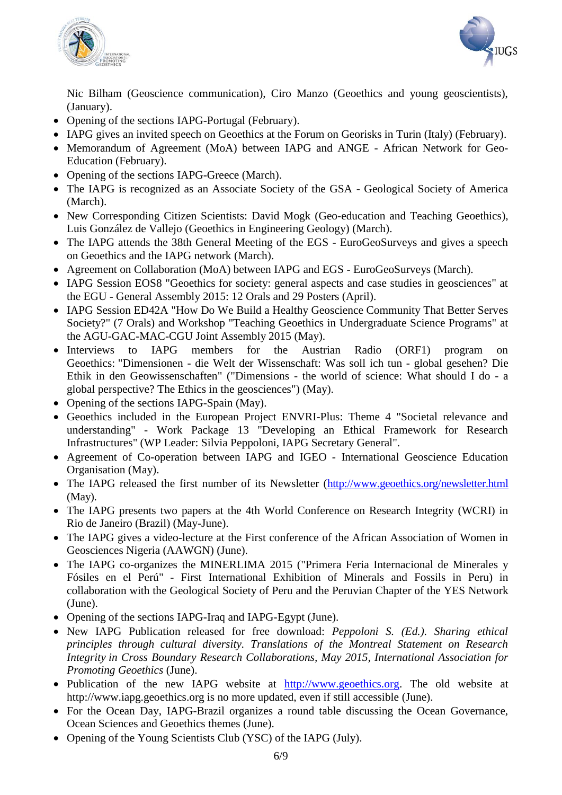



Nic Bilham (Geoscience communication), Ciro Manzo (Geoethics and young geoscientists), (January).

- Opening of the sections IAPG-Portugal (February).
- IAPG gives an invited speech on Geoethics at the Forum on Georisks in Turin (Italy) (February).
- Memorandum of Agreement (MoA) between IAPG and ANGE African Network for Geo-Education (February).
- Opening of the sections IAPG-Greece (March).
- The IAPG is recognized as an Associate Society of the GSA Geological Society of America (March).
- New Corresponding Citizen Scientists: David Mogk (Geo-education and Teaching Geoethics), Luis González de Vallejo (Geoethics in Engineering Geology) (March).
- The IAPG attends the 38th General Meeting of the EGS EuroGeoSurveys and gives a speech on Geoethics and the IAPG network (March).
- Agreement on Collaboration (MoA) between IAPG and EGS EuroGeoSurveys (March).
- IAPG Session EOS8 "Geoethics for society: general aspects and case studies in geosciences" at the EGU - General Assembly 2015: 12 Orals and 29 Posters (April).
- IAPG Session ED42A "How Do We Build a Healthy Geoscience Community That Better Serves Society?" (7 Orals) and Workshop "Teaching Geoethics in Undergraduate Science Programs" at the AGU-GAC-MAC-CGU Joint Assembly 2015 (May).
- Interviews to IAPG members for the Austrian Radio (ORF1) program on Geoethics: "Dimensionen - die Welt der Wissenschaft: Was soll ich tun - global gesehen? Die Ethik in den Geowissenschaften" ("Dimensions - the world of science: What should I do - a global perspective? The Ethics in the geosciences") (May).
- Opening of the sections IAPG-Spain (May).
- Geoethics included in the European Project ENVRI-Plus: Theme 4 "Societal relevance and understanding" - Work Package 13 "Developing an Ethical Framework for Research Infrastructures" (WP Leader: Silvia Peppoloni, IAPG Secretary General".
- Agreement of Co-operation between IAPG and IGEO International Geoscience Education Organisation (May).
- The IAPG released the first number of its Newsletter [\(http://www.geoethics.org/newsletter.html](http://www.geoethics.org/newsletter.html) (May).
- The IAPG presents two papers at the 4th World Conference on Research Integrity (WCRI) in Rio de Janeiro (Brazil) (May-June).
- The IAPG gives a video-lecture at the First conference of the African Association of Women in Geosciences Nigeria (AAWGN) (June).
- The IAPG co-organizes the MINERLIMA 2015 ("Primera Feria Internacional de Minerales y Fósiles en el Perú" - First International Exhibition of Minerals and Fossils in Peru) in collaboration with the Geological Society of Peru and the Peruvian Chapter of the YES Network (June).
- Opening of the sections IAPG-Iraq and IAPG-Egypt (June).
- New IAPG Publication released for free download: *Peppoloni S. (Ed.). Sharing ethical principles through cultural diversity. Translations of the Montreal Statement on Research Integrity in Cross Boundary Research Collaborations, May 2015, International Association for Promoting Geoethics* (June).
- Publication of the new IAPG website at [http://www.geoethics.org.](http://www.geoethics.org/) The old website at http://www.iapg.geoethics.org is no more updated, even if still accessible (June).
- For the Ocean Day, IAPG-Brazil organizes a round table discussing the Ocean Governance, Ocean Sciences and Geoethics themes (June).
- Opening of the Young Scientists Club (YSC) of the IAPG (July).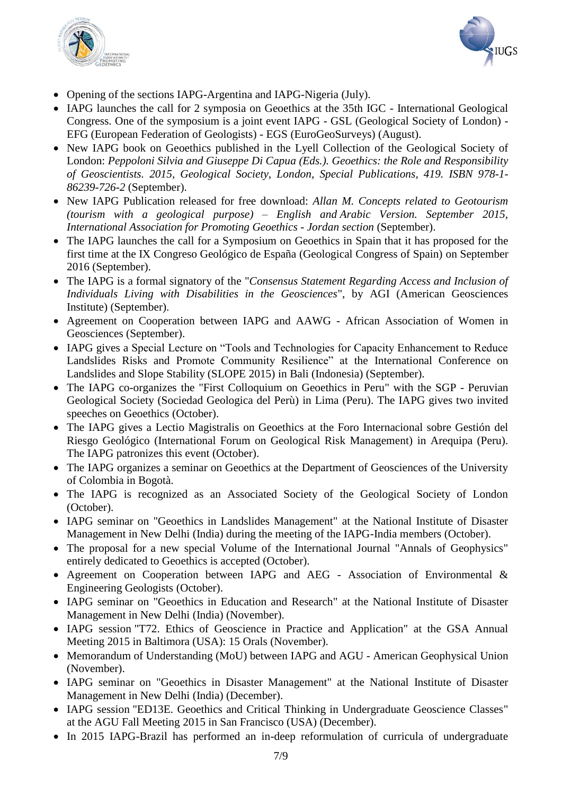



- Opening of the sections IAPG-Argentina and IAPG-Nigeria (July).
- IAPG launches the call for 2 symposia on Geoethics at the 35th IGC International Geological Congress. One of the symposium is a joint event IAPG - GSL (Geological Society of London) - EFG (European Federation of Geologists) - EGS (EuroGeoSurveys) (August).
- New IAPG book on Geoethics published in the Lyell Collection of the Geological Society of London: *[Peppoloni Silvia and Giuseppe Di Capua \(Eds.\). Geoethics: the Role and Responsibility](http://www.geoethics.org/geoethicsgsl.html)  [of Geoscientists.](http://www.geoethics.org/geoethicsgsl.html) [2015, Geological Society, London, Special Publications, 419. ISBN 978-1-](http://www.geoethics.org/geoethicsgsl.html) [86239-726-2](http://www.geoethics.org/geoethicsgsl.html)* (September).
- New IAPG Publication released for free download: *Allan M. Concepts related to Geotourism (tourism with a geological purpose) – English and Arabic Version. September 2015, International Association for Promoting Geoethics - Jordan section* (September).
- The IAPG launches the call for a Symposium on Geoethics in Spain that it has proposed for the first time at the IX Congreso Geológico de España (Geological Congress of Spain) on September 2016 (September).
- The IAPG is a formal signatory of the "*Consensus Statement Regarding Access and Inclusion of Individuals Living with Disabilities in the Geosciences*", by AGI (American Geosciences Institute) (September).
- Agreement on Cooperation between IAPG and AAWG African Association of Women in Geosciences (September).
- IAPG gives a Special Lecture on "Tools and Technologies for Capacity Enhancement to Reduce Landslides Risks and Promote Community Resilience" at the International Conference on Landslides and Slope Stability (SLOPE 2015) in Bali (Indonesia) (September).
- The IAPG co-organizes the "First Colloquium on Geoethics in Peru" with the SGP Peruvian Geological Society (Sociedad Geologica del Perù) in Lima (Peru). The IAPG gives two invited speeches on Geoethics (October).
- The IAPG gives a Lectio Magistralis on Geoethics at the Foro Internacional sobre Gestión del Riesgo Geológico (International Forum on Geological Risk Management) in Arequipa (Peru). The IAPG patronizes this event (October).
- The IAPG organizes a seminar on Geoethics at the Department of Geosciences of the University of Colombia in Bogotà.
- The IAPG is recognized as an Associated Society of the Geological Society of London (October).
- IAPG seminar on "Geoethics in Landslides Management" at the National Institute of Disaster Management in New Delhi (India) during the meeting of the IAPG-India members (October).
- The proposal for a new special Volume of the International Journal "Annals of Geophysics" entirely dedicated to Geoethics is accepted (October).
- Agreement on Cooperation between IAPG and AEG Association of Environmental & Engineering Geologists (October).
- IAPG seminar on "Geoethics in Education and Research" at the National Institute of Disaster Management in New Delhi (India) (November).
- IAPG session "T72. Ethics of Geoscience in Practice and Application" at the GSA Annual Meeting 2015 in Baltimora (USA): 15 Orals (November).
- Memorandum of Understanding (MoU) between IAPG and AGU American Geophysical Union (November).
- IAPG seminar on "Geoethics in Disaster Management" at the National Institute of Disaster Management in New Delhi (India) (December).
- IAPG session "ED13E. Geoethics and Critical Thinking in Undergraduate Geoscience Classes" at the AGU Fall Meeting 2015 in San Francisco (USA) (December).
- In 2015 IAPG-Brazil has performed an in-deep reformulation of curricula of undergraduate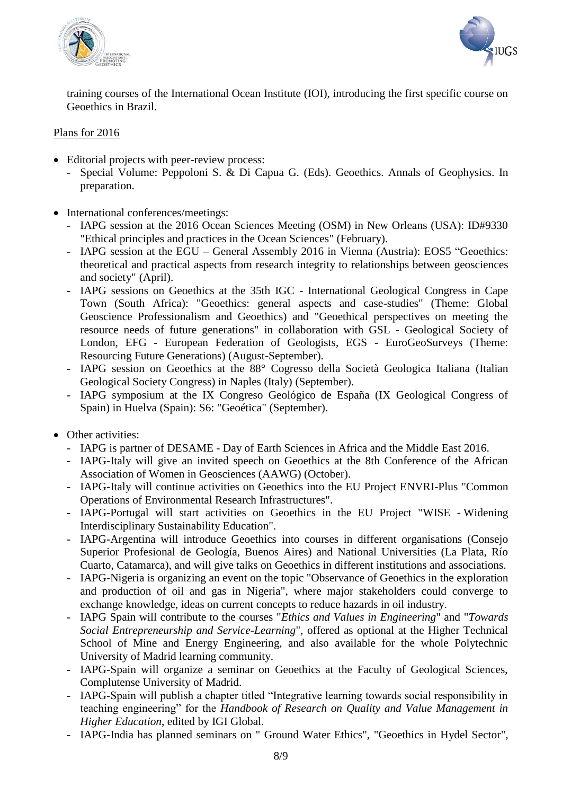



training courses of the International Ocean Institute (IOI), introducing the first specific course on Geoethics in Brazil.

#### Plans for 2016

- Editorial projects with peer-review process:
	- Special Volume: Peppoloni S. & Di Capua G. (Eds). Geoethics. Annals of Geophysics. In preparation.
- International conferences/meetings:
	- IAPG session at the 2016 Ocean Sciences Meeting (OSM) in New Orleans (USA): ID#9330 "Ethical principles and practices in the Ocean Sciences" (February).
	- IAPG session at the EGU General Assembly 2016 in Vienna (Austria): EOS5 "Geoethics: theoretical and practical aspects from research integrity to relationships between geosciences and society" (April).
	- IAPG sessions on Geoethics at the 35th IGC International Geological Congress in Cape Town (South Africa): "Geoethics: general aspects and case-studies" (Theme: Global Geoscience Professionalism and Geoethics) and "Geoethical perspectives on meeting the resource needs of future generations" in collaboration with GSL - Geological Society of London, EFG - European Federation of Geologists, EGS - EuroGeoSurveys (Theme: Resourcing Future Generations) (August-September).
	- IAPG session on Geoethics at the 88° Cogresso della Società Geologica Italiana (Italian Geological Society Congress) in Naples (Italy) (September).
	- IAPG symposium at the IX Congreso Geológico de España (IX Geological Congress of Spain) in Huelva (Spain): S6: "Geoética" (September).
- Other activities:
	- IAPG is partner of DESAME Day of Earth Sciences in Africa and the Middle East 2016.
	- IAPG-Italy will give an invited speech on Geoethics at the 8th Conference of the African Association of Women in Geosciences (AAWG) (October).
	- IAPG-Italy will continue activities on Geoethics into the EU Project ENVRI-Plus "Common Operations of Environmental Research Infrastructures".
	- IAPG-Portugal will start activities on Geoethics in the EU Project "WISE Widening Interdisciplinary Sustainability Education".
	- IAPG-Argentina will introduce Geoethics into courses in different organisations (Consejo Superior Profesional de Geología, Buenos Aires) and National Universities (La Plata, Río Cuarto, Catamarca), and will give talks on Geoethics in different institutions and associations.
	- IAPG-Nigeria is organizing an event on the topic "Observance of Geoethics in the exploration and production of oil and gas in Nigeria", where major stakeholders could converge to exchange knowledge, ideas on current concepts to reduce hazards in oil industry.
	- IAPG Spain will contribute to the courses "*Ethics and Values in Engineering*" and "*Towards Social Entrepreneurship and Service-Learning*", offered as optional at the Higher Technical School of Mine and Energy Engineering, and also available for the whole Polytechnic University of Madrid learning community.
	- IAPG-Spain will organize a seminar on Geoethics at the Faculty of Geological Sciences, Complutense University of Madrid.
	- IAPG-Spain will publish a chapter titled "Integrative learning towards social responsibility in teaching engineering" for the *Handbook of Research on Quality and Value Management in Higher Education*, edited by IGI Global.
	- IAPG-India has planned seminars on " Ground Water Ethics", "Geoethics in Hydel Sector",